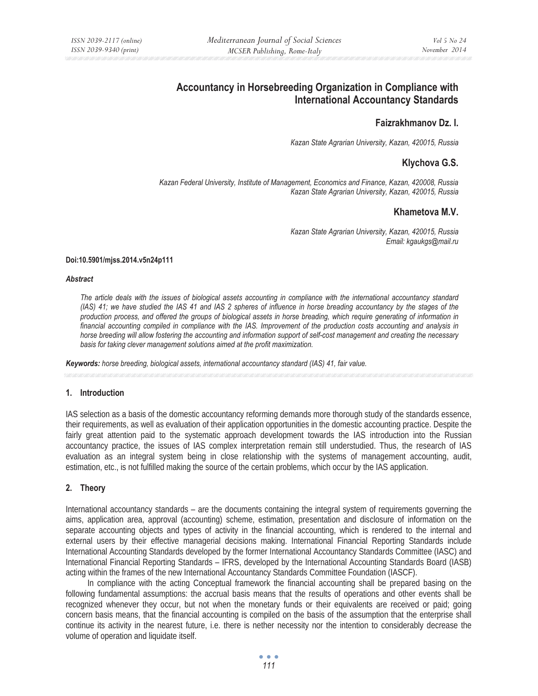# **Accountancy in Horsebreeding Organization in Compliance with International Accountancy Standards**

## **Faizrakhmanov Dz. I.**

*Ʉazan State Agrarian University, Kazan, 420015, Russia* 

## **Klychova G.S.**

*Kazan Federal University, Institute of Management, Economics and Finance, Kazan, 420008, Russia Ʉazan State Agrarian University, Kazan, 420015, Russia* 

## **Khametova ɇ.V.**

*Ʉazan State Agrarian University, Kazan, 420015, Russia Email: kgaukgs@mail.ru* 

#### **Doi:10.5901/mjss.2014.v5n24p111**

#### *Abstract*

*The article deals with the issues of biological assets accounting in compliance with the international accountancy standard (IAS) 41; we have studied the IAS 41 and IAS 2 spheres of influence in horse breading accountancy by the stages of the production process, and offered the groups of biological assets in horse breading, which require generating of information in financial accounting compiled in compliance with the IAS. Improvement of the production costs accounting and analysis in horse breeding will allow fostering the accounting and information support of self-cost management and creating the necessary basis for taking clever management solutions aimed at the profit maximization.* 

*Keywords: horse breeding, biological assets, international accountancy standard (IAS) 41, fair value.* 

#### **1. Introduction**

IAS selection as a basis of the domestic accountancy reforming demands more thorough study of the standards essence, their requirements, as well as evaluation of their application opportunities in the domestic accounting practice. Despite the fairly great attention paid to the systematic approach development towards the IAS introduction into the Russian accountancy practice, the issues of IAS complex interpretation remain still understudied. Thus, the research of IAS evaluation as an integral system being in close relationship with the systems of management accounting, audit, estimation, etc., is not fulfilled making the source of the certain problems, which occur by the IAS application.

#### **2. Theory**

International accountancy standards – are the documents containing the integral system of requirements governing the aims, application area, approval (accounting) scheme, estimation, presentation and disclosure of information on the separate accounting objects and types of activity in the financial accounting, which is rendered to the internal and external users by their effective managerial decisions making. International Financial Reporting Standards include International Accounting Standards developed by the former International Accountancy Standards Committee (IASC) and International Financial Reporting Standards – IFRS, developed by the International Accounting Standards Board (IASB) acting within the frames of the new International Accountancy Standards Committee Foundation (IASCF).

In compliance with the acting Conceptual framework the financial accounting shall be prepared basing on the following fundamental assumptions: the accrual basis means that the results of operations and other events shall be recognized whenever they occur, but not when the monetary funds or their equivalents are received or paid; going concern basis means, that the financial accounting is compiled on the basis of the assumption that the enterprise shall continue its activity in the nearest future, i.e. there is nether necessity nor the intention to considerably decrease the volume of operation and liquidate itself.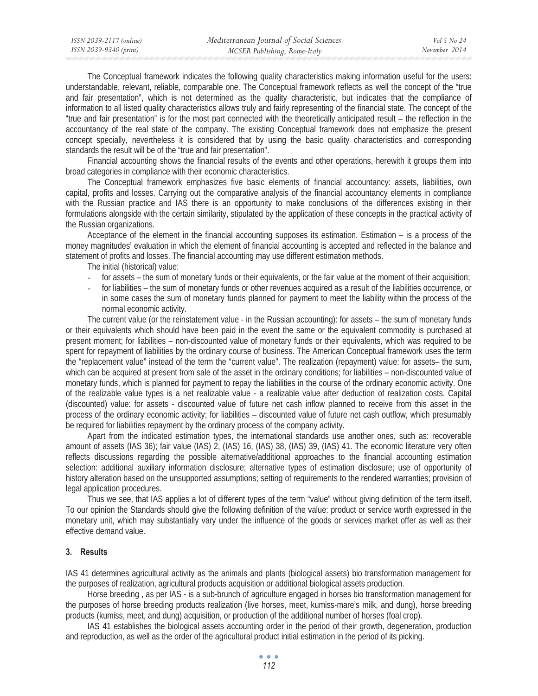| ISSN 2039-2117 (online) | Mediterranean Journal of Social Sciences | Vol 5 No 24   |
|-------------------------|------------------------------------------|---------------|
| ISSN 2039-9340 (print)  | MCSER Publishing, Rome-Italy             | November 2014 |
|                         |                                          |               |

The Conceptual framework indicates the following quality characteristics making information useful for the users: understandable, relevant, reliable, comparable one. The Conceptual framework reflects as well the concept of the "true and fair presentation", which is not determined as the quality characteristic, but indicates that the compliance of information to all listed quality characteristics allows truly and fairly representing of the financial state. The concept of the "true and fair presentation" is for the most part connected with the theoretically anticipated result – the reflection in the accountancy of the real state of the company. The existing Conceptual framework does not emphasize the present concept specially, nevertheless it is considered that by using the basic quality characteristics and corresponding standards the result will be of the "true and fair presentation".

Financial accounting shows the financial results of the events and other operations, herewith it groups them into broad categories in compliance with their economic characteristics.

The Conceptual framework emphasizes five basic elements of financial accountancy: assets, liabilities, own capital, profits and losses. Carrying out the comparative analysis of the financial accountancy elements in compliance with the Russian practice and IAS there is an opportunity to make conclusions of the differences existing in their formulations alongside with the certain similarity, stipulated by the application of these concepts in the practical activity of the Russian organizations.

Acceptance of the element in the financial accounting supposes its estimation. Estimation – is a process of the money magnitudes' evaluation in which the element of financial accounting is accepted and reflected in the balance and statement of profits and losses. The financial accounting may use different estimation methods.

The initial (historical) value:

- for assets the sum of monetary funds or their equivalents, or the fair value at the moment of their acquisition;
- for liabilities the sum of monetary funds or other revenues acquired as a result of the liabilities occurrence, or in some cases the sum of monetary funds planned for payment to meet the liability within the process of the normal economic activity.

The current value (or the reinstatement value - in the Russian accounting): for assets – the sum of monetary funds or their equivalents which should have been paid in the event the same or the equivalent commodity is purchased at present moment; for liabilities – non-discounted value of monetary funds or their equivalents, which was required to be spent for repayment of liabilities by the ordinary course of business. The American Conceptual framework uses the term the "replacement value" instead of the term the "current value". The realization (repayment) value: for assets– the sum, which can be acquired at present from sale of the asset in the ordinary conditions; for liabilities – non-discounted value of monetary funds, which is planned for payment to repay the liabilities in the course of the ordinary economic activity. One of the realizable value types is a net realizable value - a realizable value after deduction of realization costs. Capital (discounted) value: for assets - discounted value of future net cash inflow planned to receive from this asset in the process of the ordinary economic activity; for liabilities – discounted value of future net cash outflow, which presumably be required for liabilities repayment by the ordinary process of the company activity.

Apart from the indicated estimation types, the international standards use another ones, such as: recoverable amount of assets (IAS 36); fair value (IAS) 2, (IAS) 16, (IAS) 38, (IAS) 39, (IAS) 41. The economic literature very often reflects discussions regarding the possible alternative/additional approaches to the financial accounting estimation selection: additional auxiliary information disclosure; alternative types of estimation disclosure; use of opportunity of history alteration based on the unsupported assumptions; setting of requirements to the rendered warranties; provision of legal application procedures.

Thus we see, that IAS applies a lot of different types of the term "value" without giving definition of the term itself. To our opinion the Standards should give the following definition of the value: product or service worth expressed in the monetary unit, which may substantially vary under the influence of the goods or services market offer as well as their effective demand value.

#### **3. Results**

IAS 41 determines agricultural activity as the animals and plants (biological assets) bio transformation management for the purposes of realization, agricultural products acquisition or additional biological assets production.

Horse breeding , as per IAS - is a sub-brunch of agriculture engaged in horses bio transformation management for the purposes of horse breeding products realization (live horses, meet, kumiss-mare's milk, and dung), horse breeding products (kumiss, meet, and dung) acquisition, or production of the additional number of horses (foal crop).

IAS 41 establishes the biological assets accounting order in the period of their growth, degeneration, production and reproduction, as well as the order of the agricultural product initial estimation in the period of its picking.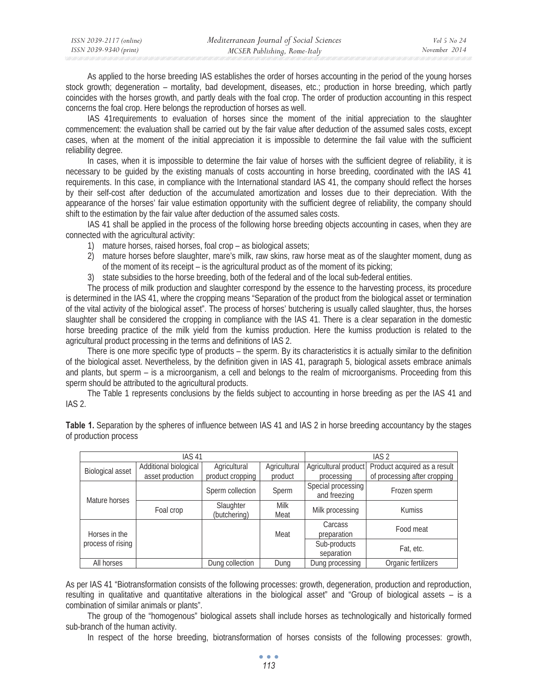As applied to the horse breeding IAS establishes the order of horses accounting in the period of the young horses stock growth; degeneration – mortality, bad development, diseases, etc.; production in horse breeding, which partly coincides with the horses growth, and partly deals with the foal crop. The order of production accounting in this respect concerns the foal crop. Here belongs the reproduction of horses as well.

IAS 41requirements to evaluation of horses since the moment of the initial appreciation to the slaughter commencement: the evaluation shall be carried out by the fair value after deduction of the assumed sales costs, except cases, when at the moment of the initial appreciation it is impossible to determine the fail value with the sufficient reliability degree.

In cases, when it is impossible to determine the fair value of horses with the sufficient degree of reliability, it is necessary to be guided by the existing manuals of costs accounting in horse breeding, coordinated with the IAS 41 requirements. In this case, in compliance with the International standard IAS 41, the company should reflect the horses by their self-cost after deduction of the accumulated amortization and losses due to their depreciation. With the appearance of the horses' fair value estimation opportunity with the sufficient degree of reliability, the company should shift to the estimation by the fair value after deduction of the assumed sales costs.

IAS 41 shall be applied in the process of the following horse breeding objects accounting in cases, when they are connected with the agricultural activity:

- 1) mature horses, raised horses, foal crop as biological assets;
- 2) mature horses before slaughter, mare's milk, raw skins, raw horse meat as of the slaughter moment, dung as of the moment of its receipt – is the agricultural product as of the moment of its picking;
- 3) state subsidies to the horse breeding, both of the federal and of the local sub-federal entities.

The process of milk production and slaughter correspond by the essence to the harvesting process, its procedure is determined in the IAS 41, where the cropping means "Separation of the product from the biological asset or termination of the vital activity of the biological asset". The process of horses' butchering is usually called slaughter, thus, the horses slaughter shall be considered the cropping in compliance with the IAS 41. There is a clear separation in the domestic horse breeding practice of the milk yield from the kumiss production. Here the kumiss production is related to the agricultural product processing in the terms and definitions of IAS 2.

There is one more specific type of products – the sperm. By its characteristics it is actually similar to the definition of the biological asset. Nevertheless, by the definition given in IAS 41, paragraph 5, biological assets embrace animals and plants, but sperm – is a microorganism, a cell and belongs to the realm of microorganisms. Proceeding from this sperm should be attributed to the agricultural products.

The Table 1 represents conclusions by the fields subject to accounting in horse breeding as per the IAS 41 and IAS 2.

| <b>IAS 41</b>           |                                           |                                  |                         | IAS 2                              |                                                              |  |
|-------------------------|-------------------------------------------|----------------------------------|-------------------------|------------------------------------|--------------------------------------------------------------|--|
| <b>Biological asset</b> | Additional biological<br>asset production | Agricultural<br>product cropping | Agricultural<br>product | Agricultural product<br>processing | Product acquired as a result<br>of processing after cropping |  |
| Mature horses           |                                           | Sperm collection                 | Sperm                   | Special processing<br>and freezing | Frozen sperm                                                 |  |
|                         | Foal crop                                 | Slaughter<br>(butchering)        | <b>Milk</b><br>Meat     | Milk processing                    | <b>Kumiss</b>                                                |  |
| Horses in the           |                                           |                                  | Meat                    | Carcass<br>preparation             | Food meat                                                    |  |
| process of rising       |                                           |                                  |                         | Sub-products<br>separation         | Fat, etc.                                                    |  |
| All horses              |                                           | Dung collection                  | Dung                    | Dung processing                    | Organic fertilizers                                          |  |

**Table 1.** Separation by the spheres of influence between IAS 41 and IAS 2 in horse breeding accountancy by the stages of production process

As per IAS 41 "Biotransformation consists of the following processes: growth, degeneration, production and reproduction, resulting in qualitative and quantitative alterations in the biological asset" and "Group of biological assets – is a combination of similar animals or plants".

The group of the "homogenous" biological assets shall include horses as technologically and historically formed sub-branch of the human activity.

In respect of the horse breeding, biotransformation of horses consists of the following processes: growth,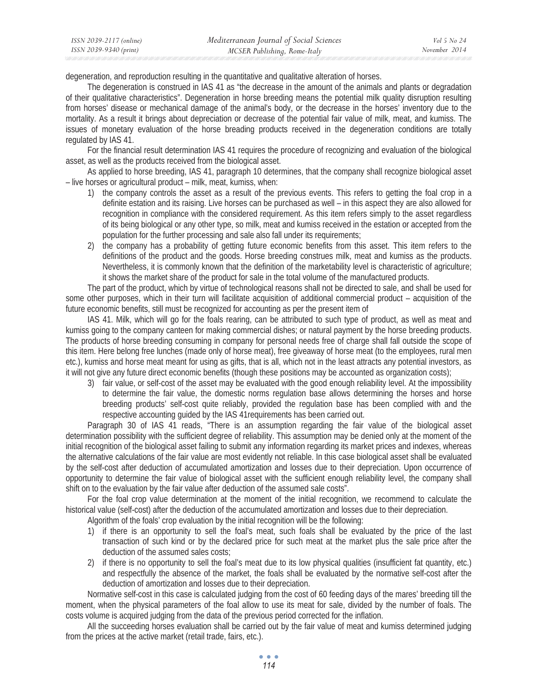| ISSN 2039-2117 (online) | Mediterranean Journal of Social Sciences | Vol 5 No 24   |
|-------------------------|------------------------------------------|---------------|
| ISSN 2039-9340 (print)  | MCSER Publishing, Rome-Italy             | November 2014 |

degeneration, and reproduction resulting in the quantitative and qualitative alteration of horses.

The degeneration is construed in IAS 41 as "the decrease in the amount of the animals and plants or degradation of their qualitative characteristics". Degeneration in horse breeding means the potential milk quality disruption resulting from horses' disease or mechanical damage of the animal's body, or the decrease in the horses' inventory due to the mortality. As a result it brings about depreciation or decrease of the potential fair value of milk, meat, and kumiss. The issues of monetary evaluation of the horse breading products received in the degeneration conditions are totally regulated by IAS 41.

For the financial result determination IAS 41 requires the procedure of recognizing and evaluation of the biological asset, as well as the products received from the biological asset.

As applied to horse breeding, IAS 41, paragraph 10 determines, that the company shall recognize biological asset – live horses or agricultural product – milk, meat, kumiss, when:

- 1) the company controls the asset as a result of the previous events. This refers to getting the foal crop in a definite estation and its raising. Live horses can be purchased as well – in this aspect they are also allowed for recognition in compliance with the considered requirement. As this item refers simply to the asset regardless of its being biological or any other type, so milk, meat and kumiss received in the estation or accepted from the population for the further processing and sale also fall under its requirements;
- 2) the company has a probability of getting future economic benefits from this asset. This item refers to the definitions of the product and the goods. Horse breeding construes milk, meat and kumiss as the products. Nevertheless, it is commonly known that the definition of the marketability level is characteristic of agriculture; it shows the market share of the product for sale in the total volume of the manufactured products.

The part of the product, which by virtue of technological reasons shall not be directed to sale, and shall be used for some other purposes, which in their turn will facilitate acquisition of additional commercial product – acquisition of the future economic benefits, still must be recognized for accounting as per the present item of

IAS 41. Milk, which will go for the foals rearing, can be attributed to such type of product, as well as meat and kumiss going to the company canteen for making commercial dishes; or natural payment by the horse breeding products. The products of horse breeding consuming in company for personal needs free of charge shall fall outside the scope of this item. Here belong free lunches (made only of horse meat), free giveaway of horse meat (to the employees, rural men etc.), kumiss and horse meat meant for using as gifts, that is all, which not in the least attracts any potential investors, as it will not give any future direct economic benefits (though these positions may be accounted as organization costs);

3) fair value, or self-cost of the asset may be evaluated with the good enough reliability level. At the impossibility to determine the fair value, the domestic norms regulation base allows determining the horses and horse breeding products' self-cost quite reliably, provided the regulation base has been complied with and the respective accounting guided by the IAS 41requirements has been carried out.

Paragraph 30 of IAS 41 reads, "There is an assumption regarding the fair value of the biological asset determination possibility with the sufficient degree of reliability. This assumption may be denied only at the moment of the initial recognition of the biological asset failing to submit any information regarding its market prices and indexes, whereas the alternative calculations of the fair value are most evidently not reliable. In this case biological asset shall be evaluated by the self-cost after deduction of accumulated amortization and losses due to their depreciation. Upon occurrence of opportunity to determine the fair value of biological asset with the sufficient enough reliability level, the company shall shift on to the evaluation by the fair value after deduction of the assumed sale costs".

For the foal crop value determination at the moment of the initial recognition, we recommend to calculate the historical value (self-cost) after the deduction of the accumulated amortization and losses due to their depreciation.

Algorithm of the foals' crop evaluation by the initial recognition will be the following:

- 1) if there is an opportunity to sell the foal's meat, such foals shall be evaluated by the price of the last transaction of such kind or by the declared price for such meat at the market plus the sale price after the deduction of the assumed sales costs;
- 2) if there is no opportunity to sell the foal's meat due to its low physical qualities (insufficient fat quantity, etc.) and respectfully the absence of the market, the foals shall be evaluated by the normative self-cost after the deduction of amortization and losses due to their depreciation.

Normative self-cost in this case is calculated judging from the cost of 60 feeding days of the mares' breeding till the moment, when the physical parameters of the foal allow to use its meat for sale, divided by the number of foals. The costs volume is acquired judging from the data of the previous period corrected for the inflation.

All the succeeding horses evaluation shall be carried out by the fair value of meat and kumiss determined judging from the prices at the active market (retail trade, fairs, etc.).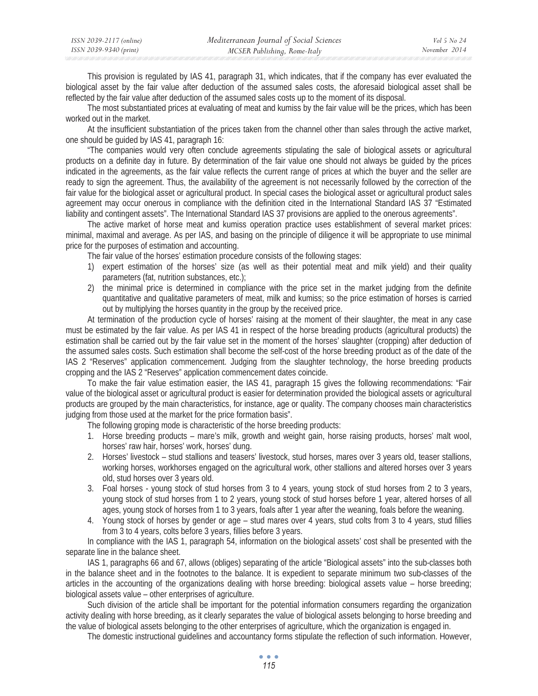This provision is regulated by IAS 41, paragraph 31, which indicates, that if the company has ever evaluated the biological asset by the fair value after deduction of the assumed sales costs, the aforesaid biological asset shall be reflected by the fair value after deduction of the assumed sales costs up to the moment of its disposal.

The most substantiated prices at evaluating of meat and kumiss by the fair value will be the prices, which has been worked out in the market.

At the insufficient substantiation of the prices taken from the channel other than sales through the active market, one should be guided by IAS 41, paragraph 16:

"The companies would very often conclude agreements stipulating the sale of biological assets or agricultural products on a definite day in future. By determination of the fair value one should not always be guided by the prices indicated in the agreements, as the fair value reflects the current range of prices at which the buyer and the seller are ready to sign the agreement. Thus, the availability of the agreement is not necessarily followed by the correction of the fair value for the biological asset or agricultural product. In special cases the biological asset or agricultural product sales agreement may occur onerous in compliance with the definition cited in the International Standard IAS 37 "Estimated liability and contingent assets". The International Standard IAS 37 provisions are applied to the onerous agreements".

The active market of horse meat and kumiss operation practice uses establishment of several market prices: minimal, maximal and average. As per IAS, and basing on the principle of diligence it will be appropriate to use minimal price for the purposes of estimation and accounting.

The fair value of the horses' estimation procedure consists of the following stages:

- 1) expert estimation of the horses' size (as well as their potential meat and milk yield) and their quality parameters (fat, nutrition substances, etc.);
- 2) the minimal price is determined in compliance with the price set in the market judging from the definite quantitative and qualitative parameters of meat, milk and kumiss; so the price estimation of horses is carried out by multiplying the horses quantity in the group by the received price.

At termination of the production cycle of horses' raising at the moment of their slaughter, the meat in any case must be estimated by the fair value. As per IAS 41 in respect of the horse breading products (agricultural products) the estimation shall be carried out by the fair value set in the moment of the horses' slaughter (cropping) after deduction of the assumed sales costs. Such estimation shall become the self-cost of the horse breeding product as of the date of the IAS 2 "Reserves" application commencement. Judging from the slaughter technology, the horse breeding products cropping and the IAS 2 "Reserves" application commencement dates coincide.

To make the fair value estimation easier, the IAS 41, paragraph 15 gives the following recommendations: "Fair value of the biological asset or agricultural product is easier for determination provided the biological assets or agricultural products are grouped by the main characteristics, for instance, age or quality. The company chooses main characteristics judging from those used at the market for the price formation basis".

The following groping mode is characteristic of the horse breeding products:

- 1. Horse breeding products mare's milk, growth and weight gain, horse raising products, horses' malt wool, horses' raw hair, horses' work, horses' dung.
- 2. Horses' livestock stud stallions and teasers' livestock, stud horses, mares over 3 years old, teaser stallions, working horses, workhorses engaged on the agricultural work, other stallions and altered horses over 3 years old, stud horses over 3 years old.
- 3. Foal horses young stock of stud horses from 3 to 4 years, young stock of stud horses from 2 to 3 years, young stock of stud horses from 1 to 2 years, young stock of stud horses before 1 year, altered horses of all ages, young stock of horses from 1 to 3 years, foals after 1 year after the weaning, foals before the weaning.
- 4. Young stock of horses by gender or age stud mares over 4 years, stud colts from 3 to 4 years, stud fillies from 3 to 4 years, colts before 3 years, fillies before 3 years.

In compliance with the IAS 1, paragraph 54, information on the biological assets' cost shall be presented with the separate line in the balance sheet.

IAS 1, paragraphs 66 and 67, allows (obliges) separating of the article "Biological assets" into the sub-classes both in the balance sheet and in the footnotes to the balance. It is expedient to separate minimum two sub-classes of the articles in the accounting of the organizations dealing with horse breeding: biological assets value – horse breeding; biological assets value – other enterprises of agriculture.

Such division of the article shall be important for the potential information consumers regarding the organization activity dealing with horse breeding, as it clearly separates the value of biological assets belonging to horse breeding and the value of biological assets belonging to the other enterprises of agriculture, which the organization is engaged in.

The domestic instructional guidelines and accountancy forms stipulate the reflection of such information. However,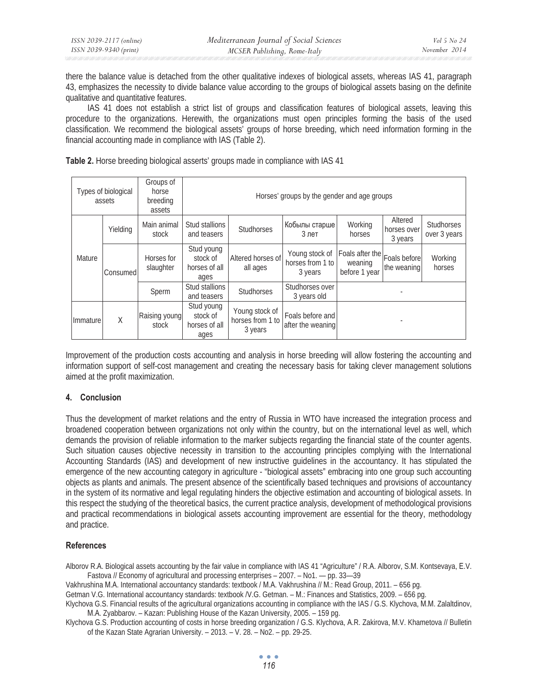there the balance value is detached from the other qualitative indexes of biological assets, whereas IAS 41, paragraph 43, emphasizes the necessity to divide balance value according to the groups of biological assets basing on the definite qualitative and quantitative features.

IAS 41 does not establish a strict list of groups and classification features of biological assets, leaving this procedure to the organizations. Herewith, the organizations must open principles forming the basis of the used classification. We recommend the biological assets' groups of horse breeding, which need information forming in the financial accounting made in compliance with IAS (Table 2).

| Table 2. Horse breeding biological asserts' groups made in compliance with IAS 41 |  |  |  |  |
|-----------------------------------------------------------------------------------|--|--|--|--|
|-----------------------------------------------------------------------------------|--|--|--|--|

| Groups of<br>Types of biological<br>horse<br>assets<br>breeding<br>assets |          | Horses' groups by the gender and age groups |                                                 |                                               |                                               |                                             |                                   |                                   |
|---------------------------------------------------------------------------|----------|---------------------------------------------|-------------------------------------------------|-----------------------------------------------|-----------------------------------------------|---------------------------------------------|-----------------------------------|-----------------------------------|
|                                                                           | Yielding | Main animal<br>stock                        | Stud stallions<br>and teasers                   | <b>Studhorses</b>                             | Кобылы старше<br>$3$ лет                      | Working<br>horses                           | Altered<br>horses over<br>3 years | <b>Studhorses</b><br>over 3 years |
| Mature                                                                    | Consumed | Horses for<br>slaughter                     | Stud young<br>stock of<br>horses of all<br>ages | Altered horses of<br>all ages                 | Young stock of<br>horses from 1 to<br>3 years | Foals after the<br>weaning<br>before 1 year | Foals before<br>the weaning       | Working<br>horses                 |
|                                                                           |          | Sperm                                       | Stud stallions<br>and teasers                   | <b>Studhorses</b>                             | Studhorses over<br>3 years old                |                                             |                                   |                                   |
| Immature                                                                  | X        | Raising young<br>stock                      | Stud young<br>stock of<br>horses of all<br>ages | Young stock of<br>horses from 1 to<br>3 years | Foals before and<br>after the weaning         |                                             |                                   |                                   |

Improvement of the production costs accounting and analysis in horse breeding will allow fostering the accounting and information support of self-cost management and creating the necessary basis for taking clever management solutions aimed at the profit maximization.

## **4. Conclusion**

Thus the development of market relations and the entry of Russia in WTO have increased the integration process and broadened cooperation between organizations not only within the country, but on the international level as well, which demands the provision of reliable information to the marker subjects regarding the financial state of the counter agents. Such situation causes objective necessity in transition to the accounting principles complying with the International Accounting Standards (IAS) and development of new instructive guidelines in the accountancy. It has stipulated the emergence of the new accounting category in agriculture - "biological assets" embracing into one group such accounting objects as plants and animals. The present absence of the scientifically based techniques and provisions of accountancy in the system of its normative and legal regulating hinders the objective estimation and accounting of biological assets. In this respect the studying of the theoretical basics, the current practice analysis, development of methodological provisions and practical recommendations in biological assets accounting improvement are essential for the theory, methodology and practice.

## **References**

Alborov R.A. Biological assets accounting by the fair value in compliance with IAS 41 "Agriculture" / R.A. Alborov, S.M. Kontsevaya, E.V. Fastova // Economy of agricultural and processing enterprises – 2007. – No1. — pp. 33—39

Vakhrushina M.A. International accountancy standards: textbook / M.A. Vakhrushina // M.: Read Group, 2011. – 656 pg.

Getman V.G. International accountancy standards: textbook /V.G. Getman. – M.: Finances and Statistics, 2009. – 656 pg.

Klychova G.S. Financial results of the agricultural organizations accounting in compliance with the IAS / G.S. Klychova, M.M. Zalaltdinov, M.A. Zyabbarov. - Kazan: Publishing House of the Kazan University, 2005. - 159 pg.

Klychova G.S. Production accounting of costs in horse breeding organization / G.S. Klychova, A.R. Zakirova, M.V. Khametova // Bulletin of the Kazan State Agrarian University. – 2013. – V. 28. – No2. – pp. 29-25.